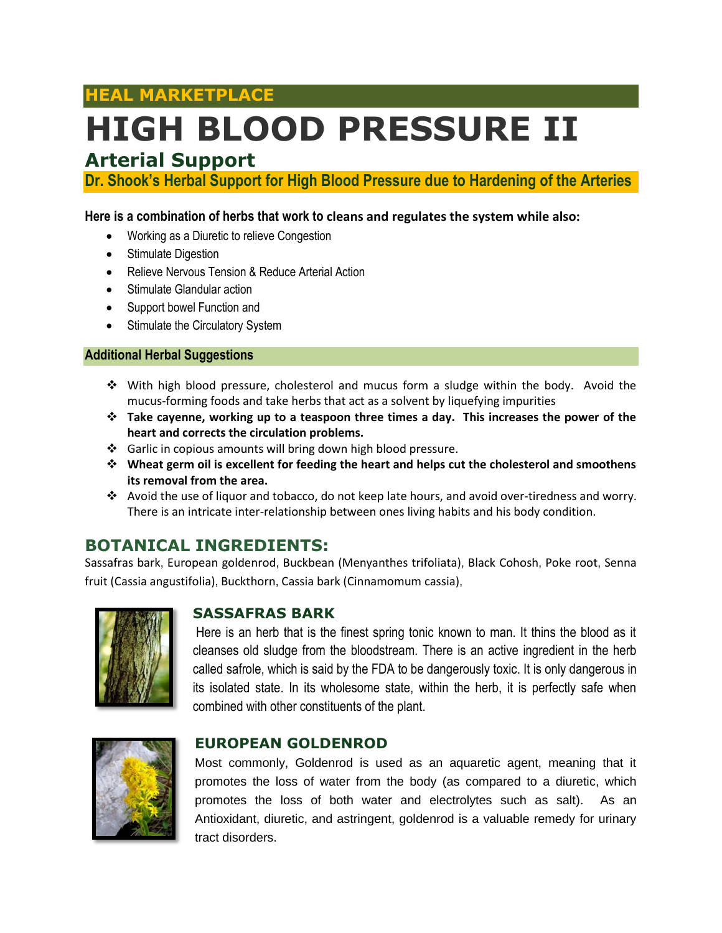## **HEAL MARKETPLACE**

# **HIGH BLOOD PRESSURE II**

## **Arterial Support**

**Dr. Shook's Herbal Support for High Blood Pressure due to Hardening of the Arteries**

#### **Here is a combination of herbs that work to cleans and regulates the system while also:**

- Working as a Diuretic to relieve Congestion
- Stimulate Digestion
- Relieve Nervous Tension & Reduce Arterial Action
- Stimulate Glandular action
- Support bowel Function and
- Stimulate the Circulatory System

#### **Additional Herbal Suggestions**

- With high blood pressure, cholesterol and mucus form a sludge within the body. Avoid the mucus-forming foods and take herbs that act as a solvent by liquefying impurities
- **Take cayenne, working up to a teaspoon three times a day. This increases the power of the heart and corrects the circulation problems.**
- Garlic in copious amounts will bring down high blood pressure.
- **Wheat germ oil is excellent for feeding the heart and helps cut the cholesterol and smoothens its removal from the area.**
- Avoid the use of liquor and tobacco, do not keep late hours, and avoid over-tiredness and worry. There is an intricate inter-relationship between ones living habits and his body condition.

### **BOTANICAL INGREDIENTS:**

Sassafras bark, European goldenrod, Buckbean (Menyanthes trifoliata), Black Cohosh, Poke root, Senna fruit (Cassia angustifolia), Buckthorn, Cassia bark (Cinnamomum cassia),



#### **SASSAFRAS BARK**

Here is an herb that is the finest spring tonic known to man. It thins the blood as it cleanses old sludge from the bloodstream. There is an active ingredient in the herb called safrole, which is said by the FDA to be dangerously toxic. It is only dangerous in its isolated state. In its wholesome state, within the herb, it is perfectly safe when combined with other constituents of the plant.



#### **EUROPEAN GOLDENROD**

Most commonly, Goldenrod is used as an aquaretic agent, meaning that it promotes the loss of water from the body (as compared to a diuretic, which promotes the loss of both water and electrolytes such as salt). As an Antioxidant, diuretic, and astringent, goldenrod is a valuable remedy for urinary tract disorders.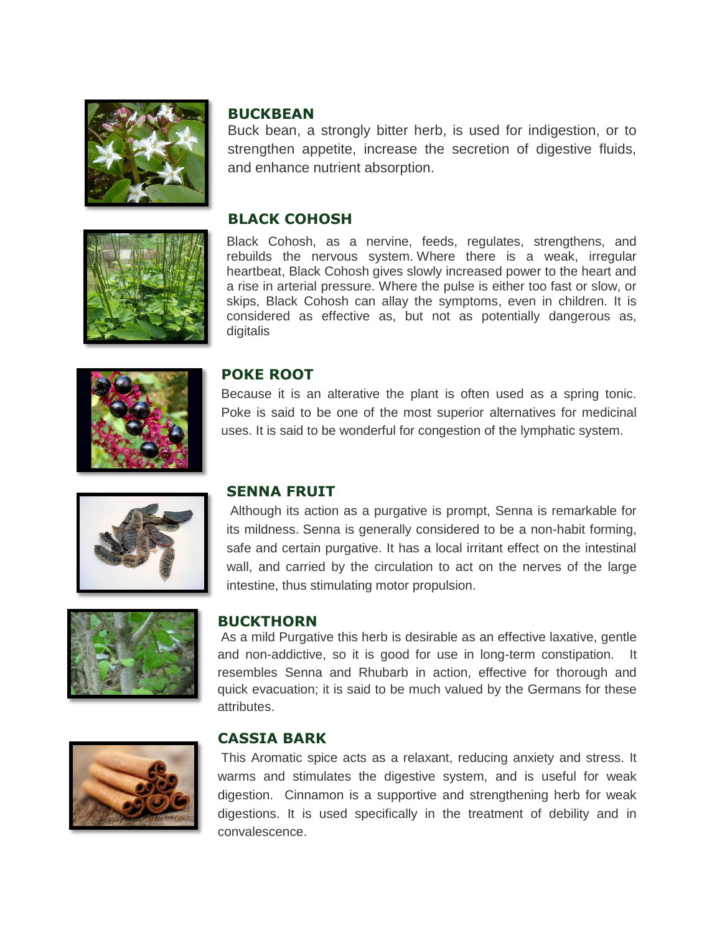



Buck bean, a strongly bitter herb, is used for indigestion, or to strengthen appetite, increase the secretion of digestive fluids, and enhance nutrient absorption.

#### **BLACK COHOSH**

Black Cohosh, as a nervine, feeds, regulates, strengthens, and rebuilds the nervous system. Where there is a weak, irregular heartbeat, Black Cohosh gives slowly increased power to the heart and a rise in arterial pressure. Where the pulse is either too fast or slow, or skips, Black Cohosh can allay the symptoms, even in children. It is considered as effective as, but not as potentially dangerous as, digitalis





#### **POKE ROOT**

Because it is an alterative the plant is often used as a spring tonic. Poke is said to be one of the most superior alternatives for medicinal uses. It is said to be wonderful for congestion of the lymphatic system.



#### **SENNA FRUIT**

Although its action as a purgative is prompt, Senna is remarkable for its mildness. Senna is generally considered to be a non-habit forming, safe and certain purgative. It has a local irritant effect on the intestinal wall, and carried by the circulation to act on the nerves of the large intestine, thus stimulating motor propulsion.

#### **BUCKTHORN**

As a mild Purgative this herb is desirable as an effective laxative, gentle and non-addictive, so it is good for use in long-term constipation. It resembles Senna and Rhubarb in action, effective for thorough and quick evacuation; it is said to be much valued by the Germans for these attributes.



#### **CASSIA BARK**

This Aromatic spice acts as a relaxant, reducing anxiety and stress. It warms and stimulates the digestive system, and is useful for weak digestion. Cinnamon is a supportive and strengthening herb for weak digestions. It is used specifically in the treatment of debility and in convalescence.